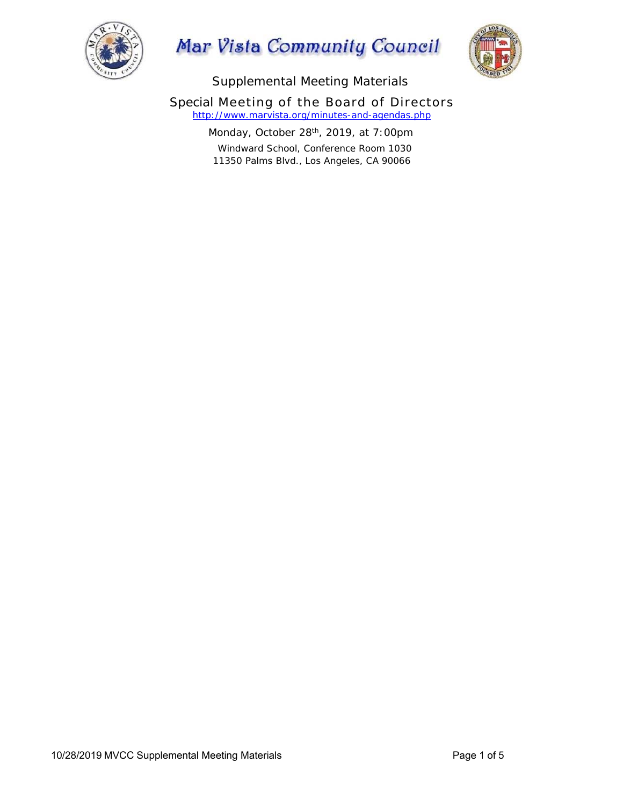

## Mar Vista Community Council



Supplemental Meeting Materials

Special Meeting of the Board of Directors *http://www.marvista.org/minutes-and-agendas.php*

> Monday, October 28<sup>th</sup>, 2019, at 7:00pm Windward School, Conference Room 1030 11350 Palms Blvd., Los Angeles, CA 90066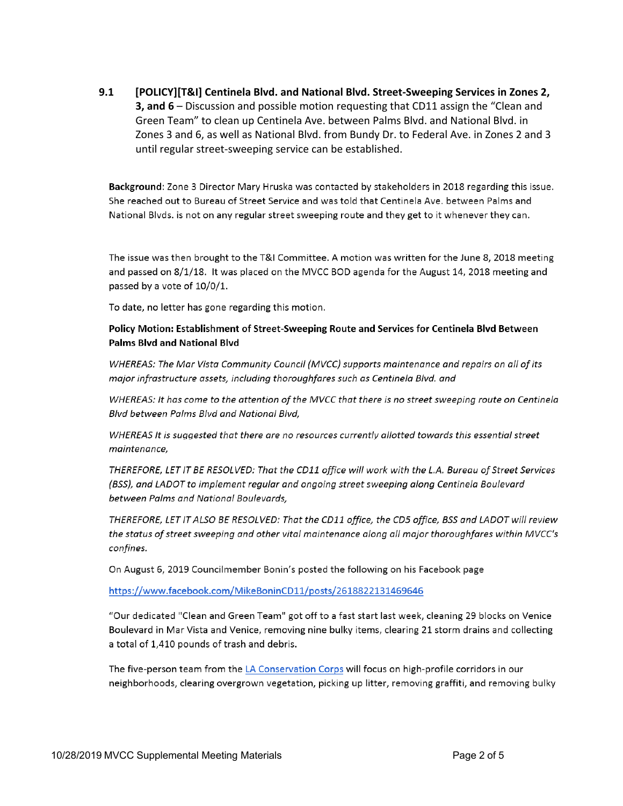$9.1$ [POLICY][T&I] Centinela Blvd. and National Blvd. Street-Sweeping Services in Zones 2, 3, and 6 – Discussion and possible motion requesting that CD11 assign the "Clean and Green Team" to clean up Centinela Ave. between Palms Blvd. and National Blvd. in Zones 3 and 6, as well as National Blvd. from Bundy Dr. to Federal Ave. in Zones 2 and 3 until regular street-sweeping service can be established.

Background: Zone 3 Director Mary Hruska was contacted by stakeholders in 2018 regarding this issue. She reached out to Bureau of Street Service and was told that Centinela Ave. between Palms and National Blvds. is not on any regular street sweeping route and they get to it whenever they can.

The issue was then brought to the T&I Committee. A motion was written for the June 8, 2018 meeting and passed on 8/1/18. It was placed on the MVCC BOD agenda for the August 14, 2018 meeting and passed by a vote of 10/0/1.

To date, no letter has gone regarding this motion.

## Policy Motion: Establishment of Street-Sweeping Route and Services for Centinela Blvd Between **Palms Blvd and National Blvd**

WHEREAS: The Mar Vista Community Council (MVCC) supports maintenance and repairs on all of its major infrastructure assets, including thoroughfares such as Centinela Blvd. and

WHEREAS: It has come to the attention of the MVCC that there is no street sweeping route on Centinela Blvd between Palms Blvd and National Blvd,

WHEREAS It is suggested that there are no resources currently allotted towards this essential street maintenance,

THEREFORE, LET IT BE RESOLVED: That the CD11 office will work with the L.A. Bureau of Street Services (BSS), and LADOT to implement regular and ongoing street sweeping along Centinela Boulevard between Palms and National Boulevards,

THEREFORE, LET IT ALSO BE RESOLVED: That the CD11 office, the CD5 office, BSS and LADOT will review the status of street sweeping and other vital maintenance along all major thoroughfares within MVCC's confines.

On August 6, 2019 Councilmember Bonin's posted the following on his Facebook page

https://www.facebook.com/MikeBoninCD11/posts/2618822131469646

"Our dedicated "Clean and Green Team" got off to a fast start last week, cleaning 29 blocks on Venice Boulevard in Mar Vista and Venice, removing nine bulky items, clearing 21 storm drains and collecting a total of 1,410 pounds of trash and debris.

The five-person team from the LA Conservation Corps will focus on high-profile corridors in our neighborhoods, clearing overgrown vegetation, picking up litter, removing graffiti, and removing bulky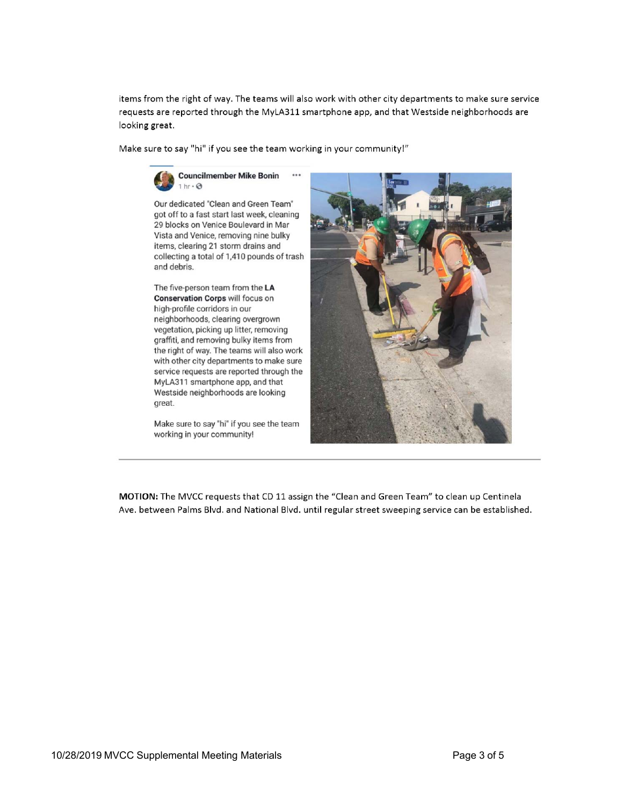items from the right of way. The teams will also work with other city departments to make sure service requests are reported through the MyLA311 smartphone app, and that Westside neighborhoods are looking great.

Make sure to say "hi" if you see the team working in your community!"

 $...$ 



Our dedicated "Clean and Green Team" got off to a fast start last week, cleaning 29 blocks on Venice Boulevard in Mar Vista and Venice, removing nine bulky items, clearing 21 storm drains and collecting a total of 1,410 pounds of trash and debris.

The five-person team from the LA Conservation Corps will focus on high-profile corridors in our neighborhoods, clearing overgrown vegetation, picking up litter, removing graffiti, and removing bulky items from the right of way. The teams will also work with other city departments to make sure service requests are reported through the MyLA311 smartphone app, and that Westside neighborhoods are looking great.

Make sure to say "hi" if you see the team working in your community!



MOTION: The MVCC requests that CD 11 assign the "Clean and Green Team" to clean up Centinela Ave. between Palms Blvd. and National Blvd. until regular street sweeping service can be established.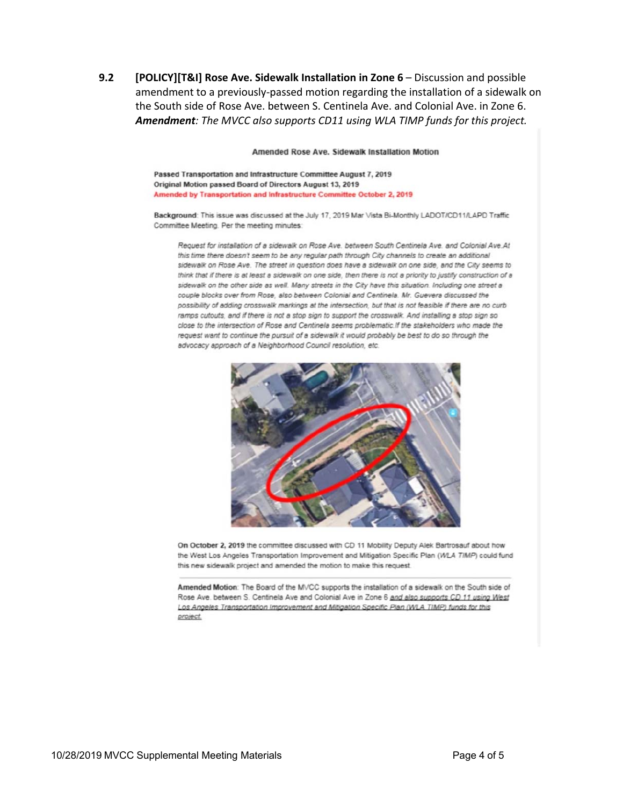**9.2 [POLICY][T&I] Rose Ave. Sidewalk Installation in Zone 6** – Discussion and possible amendment to a previously‐passed motion regarding the installation of a sidewalk on the South side of Rose Ave. between S. Centinela Ave. and Colonial Ave. in Zone 6. *Amendment: The MVCC also supports CD11 using WLA TIMP funds for this project.* 

Amended Rose Ave. Sidewalk Installation Motion

Passed Transportation and Infrastructure Committee August 7, 2019 Original Motion passed Board of Directors August 13, 2019 Amended by Transportation and Infrastructure Committee October 2, 2019

Background: This issue was discussed at the July 17, 2019 Mar Vista Bi-Monthly LADOT/CD11/LAPD Traffic Committee Meeting. Per the meeting minutes:

Request for installation of a sidewalk on Rose Ave. between South Centinela Ave. and Colonial Ave.At this time there doesn't seem to be any regular path through City channels to create an additional sidewalk on Rose Ave. The street in question does have a sidewalk on one side, and the City seems to think that if there is at least a sidewalk on one side, then there is not a priority to justify construction of a sidewalk on the other side as well. Many streets in the City have this situation. Including one street a couple blocks over from Rose, also between Colonial and Centinela. Mr. Guevera discussed the possibility of adding crosswalk markings at the intersection, but that is not feasible if there are no curb ramps cutouts, and if there is not a stop sign to support the crosswalk. And installing a stop sign so close to the intersection of Rose and Centinela seems problematic. If the stakeholders who made the request want to continue the pursuit of a sidewalk it would probably be best to do so through the advocacy approach of a Neighborhood Council resolution, etc.



On October 2, 2019 the committee discussed with CD 11 Mobility Deputy Alek Bartrosauf about how the West Los Angeles Transportation Improvement and Mitigation Specific Plan (WLA TIMP) could fund this new sidewalk project and amended the motion to make this request.

Amended Motion: The Board of the MVCC supports the installation of a sidewalk on the South side of Rose Ave. between S. Centinela Ave and Colonial Ave in Zone 6 and also supports CD 11 using West Los Angeles Transportation Improvement and Mitigation Specific Plan (WLA TIMP) funds for this project.